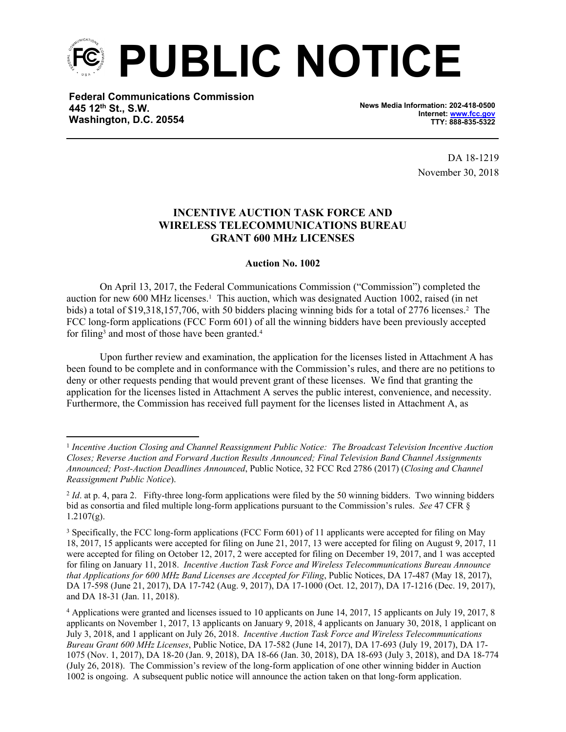

**Federal Communications Commission 445 12th St., S.W. Washington, D.C. 20554**

**News Media Information: 202-418-0500 Internet: [www.fcc.gov](file:///C:/Users/craig.bomberger/AppData/Local/Microsoft/Windows/Temporary%20Internet%20Files/Content.Outlook/BCL5QM18/www.fcc.gov) TTY: 888-835-5322**

> DA 18-1219 November 30, 2018

## **INCENTIVE AUCTION TASK FORCE AND WIRELESS TELECOMMUNICATIONS BUREAU GRANT 600 MHz LICENSES**

## **Auction No. 1002**

On April 13, 2017, the Federal Communications Commission ("Commission") completed the auction for new 600 MHz licenses.<sup>1</sup> This auction, which was designated Auction 1002, raised (in net bids) a total of \$19,318,157,706, with 50 bidders placing winning bids for a total of 2776 licenses.<sup>2</sup> The FCC long-form applications (FCC Form 601) of all the winning bidders have been previously accepted for filing<sup>3</sup> and most of those have been granted.<sup>4</sup>

Upon further review and examination, the application for the licenses listed in Attachment A has been found to be complete and in conformance with the Commission's rules, and there are no petitions to deny or other requests pending that would prevent grant of these licenses. We find that granting the application for the licenses listed in Attachment A serves the public interest, convenience, and necessity. Furthermore, the Commission has received full payment for the licenses listed in Attachment A, as

<sup>1</sup> *Incentive Auction Closing and Channel Reassignment Public Notice: The Broadcast Television Incentive Auction Closes; Reverse Auction and Forward Auction Results Announced; Final Television Band Channel Assignments Announced; Post-Auction Deadlines Announced*, Public Notice, 32 FCC Rcd 2786 (2017) (*Closing and Channel Reassignment Public Notice*).

<sup>&</sup>lt;sup>2</sup> *Id.* at p. 4, para 2. Fifty-three long-form applications were filed by the 50 winning bidders. Two winning bidders bid as consortia and filed multiple long-form applications pursuant to the Commission's rules. *See* 47 CFR §  $1.2107(g)$ .

<sup>3</sup> Specifically, the FCC long-form applications (FCC Form 601) of 11 applicants were accepted for filing on May 18, 2017, 15 applicants were accepted for filing on June 21, 2017, 13 were accepted for filing on August 9, 2017, 11 were accepted for filing on October 12, 2017, 2 were accepted for filing on December 19, 2017, and 1 was accepted for filing on January 11, 2018. *Incentive Auction Task Force and Wireless Telecommunications Bureau Announce that Applications for 600 MHz Band Licenses are Accepted for Filing*, Public Notices, DA 17-487 (May 18, 2017), DA 17-598 (June 21, 2017), DA 17-742 (Aug. 9, 2017), DA 17-1000 (Oct. 12, 2017), DA 17-1216 (Dec. 19, 2017), and DA 18-31 (Jan. 11, 2018).

<sup>4</sup> Applications were granted and licenses issued to 10 applicants on June 14, 2017, 15 applicants on July 19, 2017, 8 applicants on November 1, 2017, 13 applicants on January 9, 2018, 4 applicants on January 30, 2018, 1 applicant on July 3, 2018, and 1 applicant on July 26, 2018. *Incentive Auction Task Force and Wireless Telecommunications Bureau Grant 600 MHz Licenses*, Public Notice, DA 17-582 (June 14, 2017), DA 17-693 (July 19, 2017), DA 17- 1075 (Nov. 1, 2017), DA 18-20 (Jan. 9, 2018), DA 18-66 (Jan. 30, 2018), DA 18-693 (July 3, 2018), and DA 18-774 (July 26, 2018). The Commission's review of the long-form application of one other winning bidder in Auction 1002 is ongoing. A subsequent public notice will announce the action taken on that long-form application.